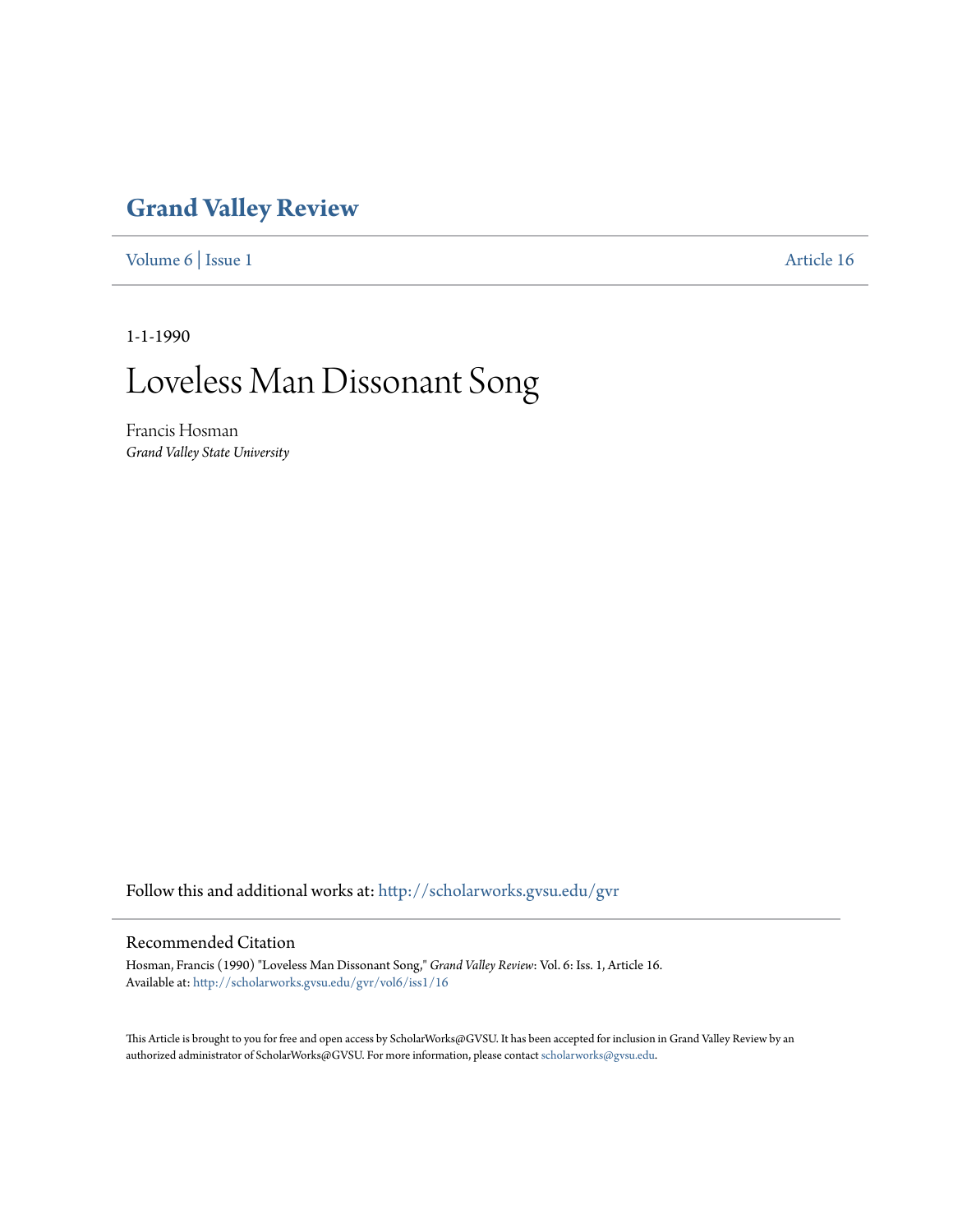## **[Grand Valley Review](http://scholarworks.gvsu.edu/gvr?utm_source=scholarworks.gvsu.edu%2Fgvr%2Fvol6%2Fiss1%2F16&utm_medium=PDF&utm_campaign=PDFCoverPages)**

[Volume 6](http://scholarworks.gvsu.edu/gvr/vol6?utm_source=scholarworks.gvsu.edu%2Fgvr%2Fvol6%2Fiss1%2F16&utm_medium=PDF&utm_campaign=PDFCoverPages) | [Issue 1](http://scholarworks.gvsu.edu/gvr/vol6/iss1?utm_source=scholarworks.gvsu.edu%2Fgvr%2Fvol6%2Fiss1%2F16&utm_medium=PDF&utm_campaign=PDFCoverPages) [Article 16](http://scholarworks.gvsu.edu/gvr/vol6/iss1/16?utm_source=scholarworks.gvsu.edu%2Fgvr%2Fvol6%2Fiss1%2F16&utm_medium=PDF&utm_campaign=PDFCoverPages)

1-1-1990

# Loveless Man Dissonant Song

Francis Hosman *Grand Valley State University*

Follow this and additional works at: [http://scholarworks.gvsu.edu/gvr](http://scholarworks.gvsu.edu/gvr?utm_source=scholarworks.gvsu.edu%2Fgvr%2Fvol6%2Fiss1%2F16&utm_medium=PDF&utm_campaign=PDFCoverPages)

#### Recommended Citation

Hosman, Francis (1990) "Loveless Man Dissonant Song," *Grand Valley Review*: Vol. 6: Iss. 1, Article 16. Available at: [http://scholarworks.gvsu.edu/gvr/vol6/iss1/16](http://scholarworks.gvsu.edu/gvr/vol6/iss1/16?utm_source=scholarworks.gvsu.edu%2Fgvr%2Fvol6%2Fiss1%2F16&utm_medium=PDF&utm_campaign=PDFCoverPages)

This Article is brought to you for free and open access by ScholarWorks@GVSU. It has been accepted for inclusion in Grand Valley Review by an authorized administrator of ScholarWorks@GVSU. For more information, please contact [scholarworks@gvsu.edu.](mailto:scholarworks@gvsu.edu)